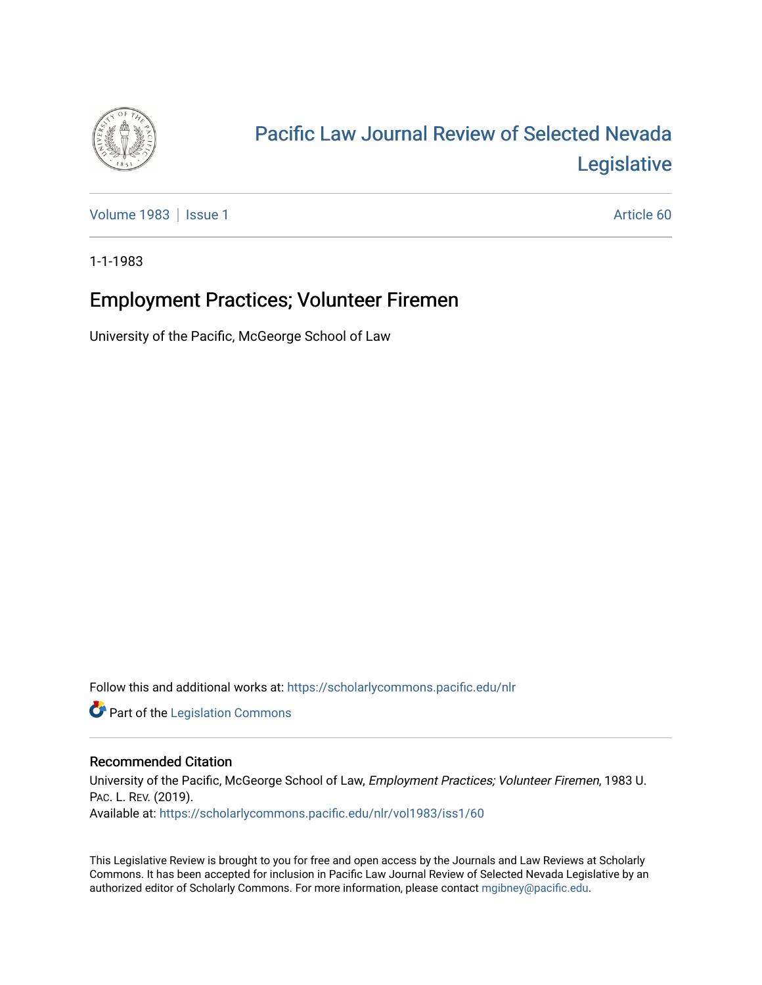

## [Pacific Law Journal Review of Selected Nevada](https://scholarlycommons.pacific.edu/nlr)  [Legislative](https://scholarlycommons.pacific.edu/nlr)

[Volume 1983](https://scholarlycommons.pacific.edu/nlr/vol1983) | [Issue 1](https://scholarlycommons.pacific.edu/nlr/vol1983/iss1) Article 60

1-1-1983

## Employment Practices; Volunteer Firemen

University of the Pacific, McGeorge School of Law

Follow this and additional works at: [https://scholarlycommons.pacific.edu/nlr](https://scholarlycommons.pacific.edu/nlr?utm_source=scholarlycommons.pacific.edu%2Fnlr%2Fvol1983%2Fiss1%2F60&utm_medium=PDF&utm_campaign=PDFCoverPages) 

**Part of the [Legislation Commons](http://network.bepress.com/hgg/discipline/859?utm_source=scholarlycommons.pacific.edu%2Fnlr%2Fvol1983%2Fiss1%2F60&utm_medium=PDF&utm_campaign=PDFCoverPages)** 

## Recommended Citation

University of the Pacific, McGeorge School of Law, Employment Practices; Volunteer Firemen, 1983 U. PAC. L. REV. (2019). Available at: [https://scholarlycommons.pacific.edu/nlr/vol1983/iss1/60](https://scholarlycommons.pacific.edu/nlr/vol1983/iss1/60?utm_source=scholarlycommons.pacific.edu%2Fnlr%2Fvol1983%2Fiss1%2F60&utm_medium=PDF&utm_campaign=PDFCoverPages)

This Legislative Review is brought to you for free and open access by the Journals and Law Reviews at Scholarly Commons. It has been accepted for inclusion in Pacific Law Journal Review of Selected Nevada Legislative by an authorized editor of Scholarly Commons. For more information, please contact [mgibney@pacific.edu](mailto:mgibney@pacific.edu).